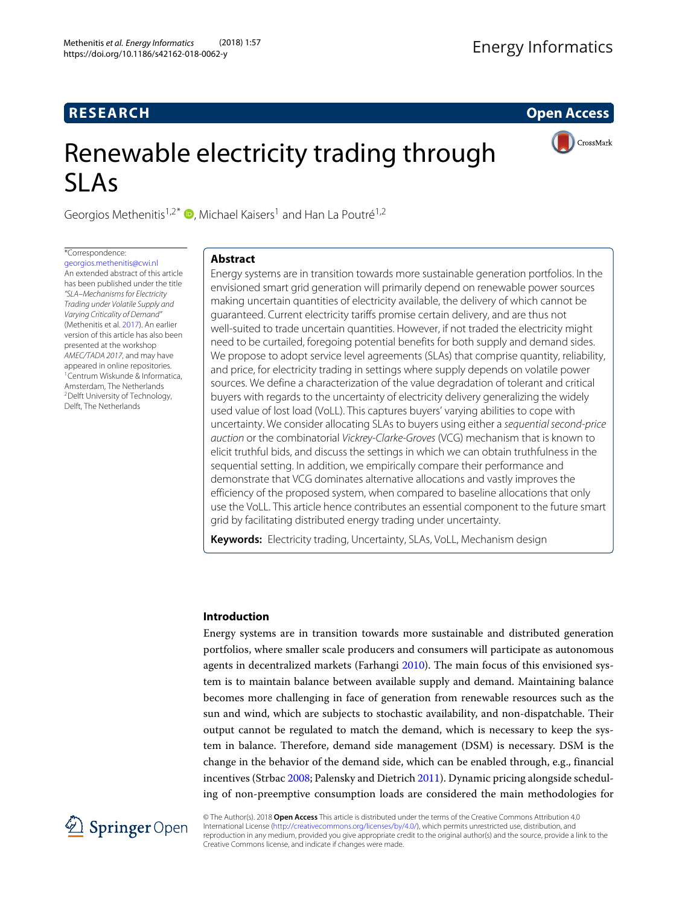# **RESEARCH Open Access**

CrossMark

# Renewable electricity trading through SLAs

Georgios Methenitis<sup>1[,](http://orcid.org/0000-0002-7828-0677)2\*</sup>  $\bullet$ , Michael Kaisers<sup>1</sup> and Han La Poutré<sup>1,2</sup>

# \*Correspondence:

[georgios.methenitis@cwi.nl](mailto: georgios.methenitis@cwi.nl) An extended abstract of this article has been published under the title "SLA–Mechanisms for Electricity Trading under Volatile Supply and Varying Criticality of Demand" (Methenitis et al. [2017\)](#page-16-0). An earlier version of this article has also been presented at the workshop AMEC/TADA 2017, and may have appeared in online repositories. 1Centrum Wiskunde & Informatica, Amsterdam, The Netherlands 2Delft University of Technology, Delft, The Netherlands

# **Abstract**

Energy systems are in transition towards more sustainable generation portfolios. In the envisioned smart grid generation will primarily depend on renewable power sources making uncertain quantities of electricity available, the delivery of which cannot be guaranteed. Current electricity tariffs promise certain delivery, and are thus not well-suited to trade uncertain quantities. However, if not traded the electricity might need to be curtailed, foregoing potential benefits for both supply and demand sides. We propose to adopt service level agreements (SLAs) that comprise quantity, reliability, and price, for electricity trading in settings where supply depends on volatile power sources. We define a characterization of the value degradation of tolerant and critical buyers with regards to the uncertainty of electricity delivery generalizing the widely used value of lost load (VoLL). This captures buyers' varying abilities to cope with uncertainty. We consider allocating SLAs to buyers using either a sequential second-price auction or the combinatorial Vickrey-Clarke-Groves (VCG) mechanism that is known to elicit truthful bids, and discuss the settings in which we can obtain truthfulness in the sequential setting. In addition, we empirically compare their performance and demonstrate that VCG dominates alternative allocations and vastly improves the efficiency of the proposed system, when compared to baseline allocations that only use the VoLL. This article hence contributes an essential component to the future smart grid by facilitating distributed energy trading under uncertainty.

**Keywords:** Electricity trading, Uncertainty, SLAs, VoLL, Mechanism design

## <span id="page-0-0"></span>**Introduction**

Energy systems are in transition towards more sustainable and distributed generation portfolios, where smaller scale producers and consumers will participate as autonomous agents in decentralized markets (Farhangi [2010\)](#page-16-1). The main focus of this envisioned system is to maintain balance between available supply and demand. Maintaining balance becomes more challenging in face of generation from renewable resources such as the sun and wind, which are subjects to stochastic availability, and non-dispatchable. Their output cannot be regulated to match the demand, which is necessary to keep the system in balance. Therefore, demand side management (DSM) is necessary. DSM is the change in the behavior of the demand side, which can be enabled through, e.g., financial incentives (Strbac [2008;](#page-16-2) Palensky and Dietrich [2011\)](#page-16-3). Dynamic pricing alongside scheduling of non-preemptive consumption loads are considered the main methodologies for



© The Author(s). 2018 **Open Access** This article is distributed under the terms of the Creative Commons Attribution 4.0 International License [\(http://creativecommons.org/licenses/by/4.0/\)](http://creativecommons.org/licenses/by/4.0/), which permits unrestricted use, distribution, and reproduction in any medium, provided you give appropriate credit to the original author(s) and the source, provide a link to the Creative Commons license, and indicate if changes were made.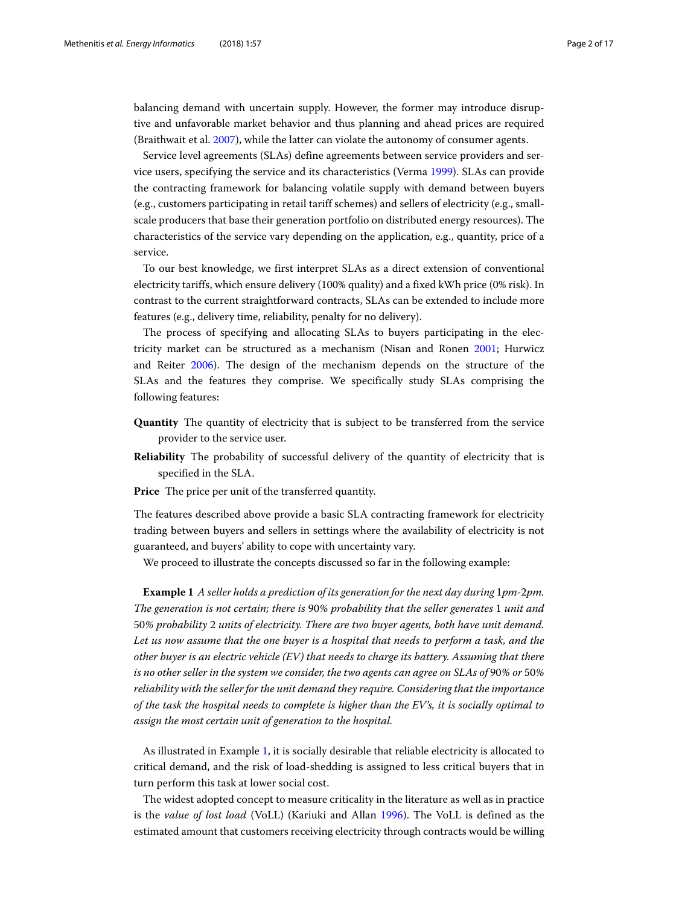balancing demand with uncertain supply. However, the former may introduce disruptive and unfavorable market behavior and thus planning and ahead prices are required (Braithwait et al. [2007\)](#page-16-4), while the latter can violate the autonomy of consumer agents.

Service level agreements (SLAs) define agreements between service providers and service users, specifying the service and its characteristics (Verma [1999\)](#page-16-5). SLAs can provide the contracting framework for balancing volatile supply with demand between buyers (e.g., customers participating in retail tariff schemes) and sellers of electricity (e.g., smallscale producers that base their generation portfolio on distributed energy resources). The characteristics of the service vary depending on the application, e.g., quantity, price of a service.

To our best knowledge, we first interpret SLAs as a direct extension of conventional electricity tariffs, which ensure delivery (100% quality) and a fixed kWh price (0% risk). In contrast to the current straightforward contracts, SLAs can be extended to include more features (e.g., delivery time, reliability, penalty for no delivery).

The process of specifying and allocating SLAs to buyers participating in the electricity market can be structured as a mechanism (Nisan and Ronen [2001;](#page-16-6) Hurwicz and Reiter [2006\)](#page-16-7). The design of the mechanism depends on the structure of the SLAs and the features they comprise. We specifically study SLAs comprising the following features:

- **Quantity** The quantity of electricity that is subject to be transferred from the service provider to the service user.
- **Reliability** The probability of successful delivery of the quantity of electricity that is specified in the SLA.
- **Price** The price per unit of the transferred quantity.

The features described above provide a basic SLA contracting framework for electricity trading between buyers and sellers in settings where the availability of electricity is not guaranteed, and buyers' ability to cope with uncertainty vary.

We proceed to illustrate the concepts discussed so far in the following example:

<span id="page-1-0"></span>**Example 1** *A seller holds a prediction of its generation for the next day during* 1*pm-*2*pm. The generation is not certain; there is* 90*% probability that the seller generates* 1 *unit and* 50*% probability* 2 *units of electricity. There are two buyer agents, both have unit demand. Let us now assume that the one buyer is a hospital that needs to perform a task, and the other buyer is an electric vehicle (EV) that needs to charge its battery. Assuming that there is no other seller in the system we consider, the two agents can agree on SLAs of* 90*% or* 50*% reliability with the seller for the unit demand they require. Considering that the importance of the task the hospital needs to complete is higher than the EV's, it is socially optimal to assign the most certain unit of generation to the hospital.*

As illustrated in Example [1,](#page-1-0) it is socially desirable that reliable electricity is allocated to critical demand, and the risk of load-shedding is assigned to less critical buyers that in turn perform this task at lower social cost.

The widest adopted concept to measure criticality in the literature as well as in practice is the *value of lost load* (VoLL) (Kariuki and Allan [1996\)](#page-16-8). The VoLL is defined as the estimated amount that customers receiving electricity through contracts would be willing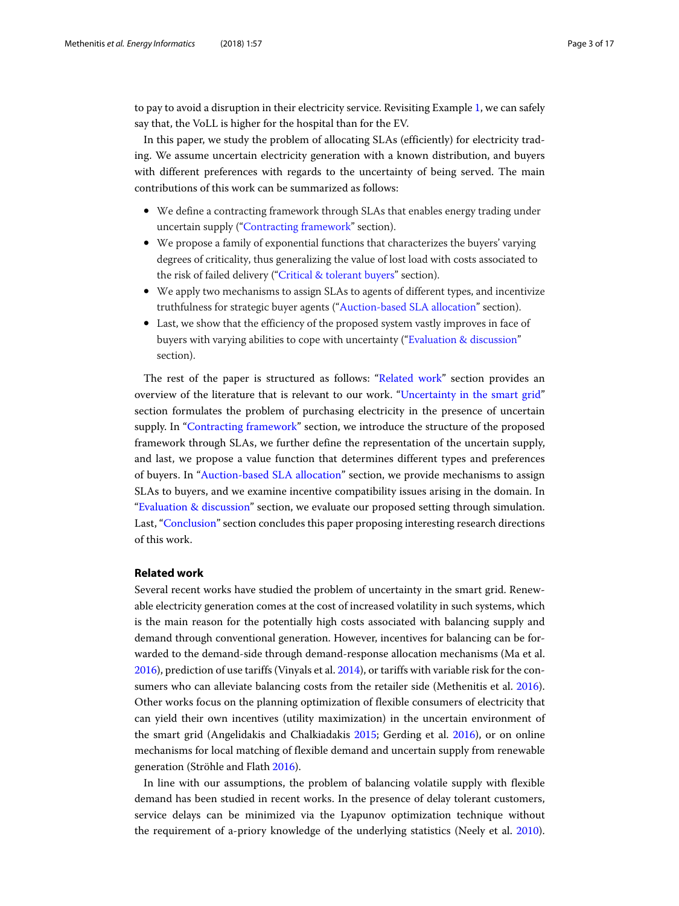to pay to avoid a disruption in their electricity service. Revisiting Example [1,](#page-1-0) we can safely say that, the VoLL is higher for the hospital than for the EV.

In this paper, we study the problem of allocating SLAs (efficiently) for electricity trading. We assume uncertain electricity generation with a known distribution, and buyers with different preferences with regards to the uncertainty of being served. The main contributions of this work can be summarized as follows:

- We define a contracting framework through SLAs that enables energy trading under uncertain supply (["Contracting framework"](#page-4-0) section).
- We propose a family of exponential functions that characterizes the buyers' varying degrees of criticality, thus generalizing the value of lost load with costs associated to the risk of failed delivery (["Critical & tolerant buyers"](#page-5-0) section).
- We apply two mechanisms to assign SLAs to agents of different types, and incentivize truthfulness for strategic buyer agents (["Auction-based SLA allocation"](#page-8-0) section).
- Last, we show that the efficiency of the proposed system vastly improves in face of buyers with varying abilities to cope with uncertainty (["Evaluation & discussion"](#page-11-0) section).

The rest of the paper is structured as follows: ["Related work"](#page-2-0) section provides an overview of the literature that is relevant to our work. ["Uncertainty in the smart grid"](#page-4-1) section formulates the problem of purchasing electricity in the presence of uncertain supply. In ["Contracting framework"](#page-4-0) section, we introduce the structure of the proposed framework through SLAs, we further define the representation of the uncertain supply, and last, we propose a value function that determines different types and preferences of buyers. In ["Auction-based SLA allocation"](#page-8-0) section, we provide mechanisms to assign SLAs to buyers, and we examine incentive compatibility issues arising in the domain. In ["Evaluation & discussion"](#page-11-0) section, we evaluate our proposed setting through simulation. Last, ["Conclusion"](#page-14-0) section concludes this paper proposing interesting research directions of this work.

#### <span id="page-2-0"></span>**Related work**

Several recent works have studied the problem of uncertainty in the smart grid. Renewable electricity generation comes at the cost of increased volatility in such systems, which is the main reason for the potentially high costs associated with balancing supply and demand through conventional generation. However, incentives for balancing can be forwarded to the demand-side through demand-response allocation mechanisms (Ma et al. [2016\)](#page-16-9), prediction of use tariffs (Vinyals et al. [2014\)](#page-16-10), or tariffs with variable risk for the consumers who can alleviate balancing costs from the retailer side (Methenitis et al. [2016\)](#page-16-11). Other works focus on the planning optimization of flexible consumers of electricity that can yield their own incentives (utility maximization) in the uncertain environment of the smart grid (Angelidakis and Chalkiadakis [2015;](#page-15-0) Gerding et al. [2016\)](#page-16-12), or on online mechanisms for local matching of flexible demand and uncertain supply from renewable generation (Ströhle and Flath [2016\)](#page-16-13).

In line with our assumptions, the problem of balancing volatile supply with flexible demand has been studied in recent works. In the presence of delay tolerant customers, service delays can be minimized via the Lyapunov optimization technique without the requirement of a-priory knowledge of the underlying statistics (Neely et al. [2010\)](#page-16-14).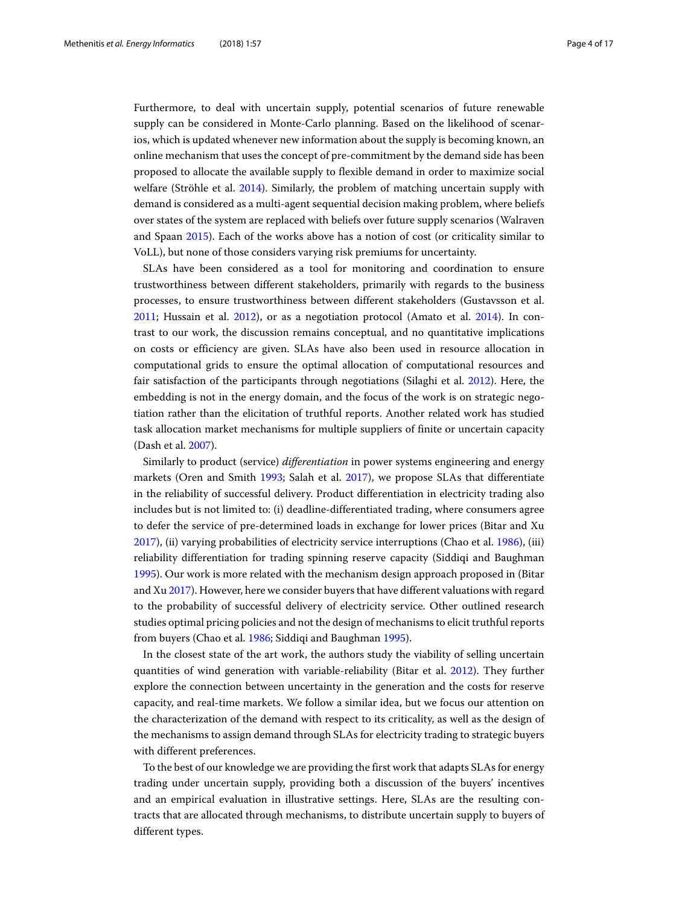Furthermore, to deal with uncertain supply, potential scenarios of future renewable supply can be considered in Monte-Carlo planning. Based on the likelihood of scenarios, which is updated whenever new information about the supply is becoming known, an online mechanism that uses the concept of pre-commitment by the demand side has been proposed to allocate the available supply to flexible demand in order to maximize social welfare (Ströhle et al. [2014\)](#page-16-15). Similarly, the problem of matching uncertain supply with demand is considered as a multi-agent sequential decision making problem, where beliefs over states of the system are replaced with beliefs over future supply scenarios (Walraven and Spaan [2015\)](#page-16-16). Each of the works above has a notion of cost (or criticality similar to VoLL), but none of those considers varying risk premiums for uncertainty.

SLAs have been considered as a tool for monitoring and coordination to ensure trustworthiness between different stakeholders, primarily with regards to the business processes, to ensure trustworthiness between different stakeholders (Gustavsson et al. [2011;](#page-16-17) Hussain et al. [2012\)](#page-16-18), or as a negotiation protocol (Amato et al. [2014\)](#page-15-1). In contrast to our work, the discussion remains conceptual, and no quantitative implications on costs or efficiency are given. SLAs have also been used in resource allocation in computational grids to ensure the optimal allocation of computational resources and fair satisfaction of the participants through negotiations (Silaghi et al. [2012\)](#page-16-19). Here, the embedding is not in the energy domain, and the focus of the work is on strategic negotiation rather than the elicitation of truthful reports. Another related work has studied task allocation market mechanisms for multiple suppliers of finite or uncertain capacity (Dash et al. [2007\)](#page-16-20).

Similarly to product (service) *differentiation* in power systems engineering and energy markets (Oren and Smith [1993;](#page-16-21) Salah et al. [2017\)](#page-16-22), we propose SLAs that differentiate in the reliability of successful delivery. Product differentiation in electricity trading also includes but is not limited to: (i) deadline-differentiated trading, where consumers agree to defer the service of pre-determined loads in exchange for lower prices (Bitar and Xu [2017\)](#page-15-2), (ii) varying probabilities of electricity service interruptions (Chao et al. [1986\)](#page-16-23), (iii) reliability differentiation for trading spinning reserve capacity (Siddiqi and Baughman [1995\)](#page-16-24). Our work is more related with the mechanism design approach proposed in (Bitar and Xu [2017\)](#page-15-2). However, here we consider buyers that have different valuations with regard to the probability of successful delivery of electricity service. Other outlined research studies optimal pricing policies and not the design of mechanisms to elicit truthful reports from buyers (Chao et al. [1986;](#page-16-23) Siddiqi and Baughman [1995\)](#page-16-24).

In the closest state of the art work, the authors study the viability of selling uncertain quantities of wind generation with variable-reliability (Bitar et al. [2012\)](#page-15-3). They further explore the connection between uncertainty in the generation and the costs for reserve capacity, and real-time markets. We follow a similar idea, but we focus our attention on the characterization of the demand with respect to its criticality, as well as the design of the mechanisms to assign demand through SLAs for electricity trading to strategic buyers with different preferences.

To the best of our knowledge we are providing the first work that adapts SLAs for energy trading under uncertain supply, providing both a discussion of the buyers' incentives and an empirical evaluation in illustrative settings. Here, SLAs are the resulting contracts that are allocated through mechanisms, to distribute uncertain supply to buyers of different types.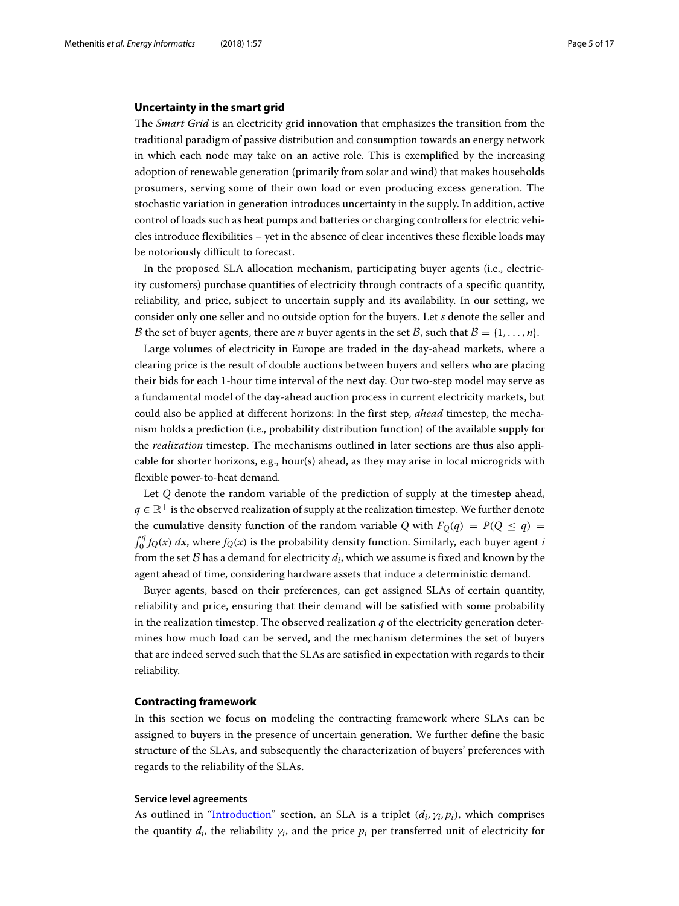#### <span id="page-4-1"></span>**Uncertainty in the smart grid**

The *Smart Grid* is an electricity grid innovation that emphasizes the transition from the traditional paradigm of passive distribution and consumption towards an energy network in which each node may take on an active role. This is exemplified by the increasing adoption of renewable generation (primarily from solar and wind) that makes households prosumers, serving some of their own load or even producing excess generation. The stochastic variation in generation introduces uncertainty in the supply. In addition, active control of loads such as heat pumps and batteries or charging controllers for electric vehicles introduce flexibilities – yet in the absence of clear incentives these flexible loads may be notoriously difficult to forecast.

In the proposed SLA allocation mechanism, participating buyer agents (i.e., electricity customers) purchase quantities of electricity through contracts of a specific quantity, reliability, and price, subject to uncertain supply and its availability. In our setting, we consider only one seller and no outside option for the buyers. Let *s* denote the seller and B the set of buyer agents, there are *n* buyer agents in the set B, such that  $B = \{1, \ldots, n\}$ .

Large volumes of electricity in Europe are traded in the day-ahead markets, where a clearing price is the result of double auctions between buyers and sellers who are placing their bids for each 1-hour time interval of the next day. Our two-step model may serve as a fundamental model of the day-ahead auction process in current electricity markets, but could also be applied at different horizons: In the first step, *ahead* timestep, the mechanism holds a prediction (i.e., probability distribution function) of the available supply for the *realization* timestep. The mechanisms outlined in later sections are thus also applicable for shorter horizons, e.g., hour(s) ahead, as they may arise in local microgrids with flexible power-to-heat demand.

Let *Q* denote the random variable of the prediction of supply at the timestep ahead,  $q \in \mathbb{R}^+$  is the observed realization of supply at the realization timestep. We further denote the cumulative density function of the random variable *Q* with  $F_Q(q) = P(Q \le q)$  $\int_0^q f_Q(x) dx$ , where  $f_Q(x)$  is the probability density function. Similarly, each buyer agent *i* from the set  $\beta$  has a demand for electricity  $d_i$ , which we assume is fixed and known by the agent ahead of time, considering hardware assets that induce a deterministic demand.

Buyer agents, based on their preferences, can get assigned SLAs of certain quantity, reliability and price, ensuring that their demand will be satisfied with some probability in the realization timestep. The observed realization  $q$  of the electricity generation determines how much load can be served, and the mechanism determines the set of buyers that are indeed served such that the SLAs are satisfied in expectation with regards to their reliability.

#### <span id="page-4-0"></span>**Contracting framework**

In this section we focus on modeling the contracting framework where SLAs can be assigned to buyers in the presence of uncertain generation. We further define the basic structure of the SLAs, and subsequently the characterization of buyers' preferences with regards to the reliability of the SLAs.

#### <span id="page-4-2"></span>**Service level agreements**

As outlined in ["Introduction"](#page-0-0) section, an SLA is a triplet  $(d_i, \gamma_i, p_i)$ , which comprises the quantity  $d_i$ , the reliability  $\gamma_i$ , and the price  $p_i$  per transferred unit of electricity for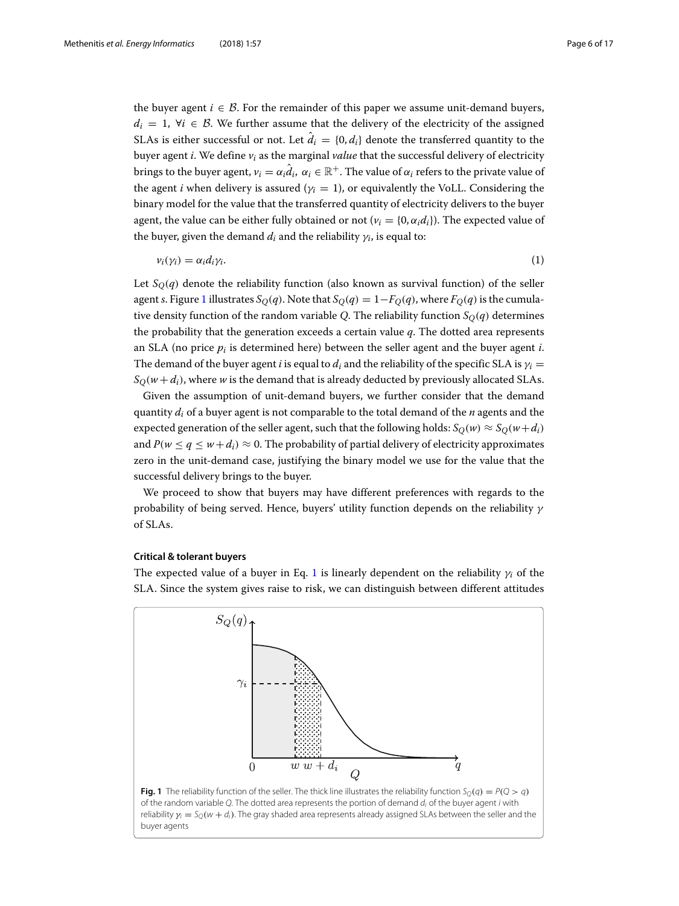the buyer agent  $i \in \mathcal{B}$ . For the remainder of this paper we assume unit-demand buyers,  $d_i = 1$ ,  $\forall i \in \mathcal{B}$ . We further assume that the delivery of the electricity of the assigned SLAs is either successful or not. Let  $\hat{d}_i = \{0, d_i\}$  denote the transferred quantity to the buyer agent *i*. We define *vi* as the marginal *value* that the successful delivery of electricity brings to the buyer agent,  $v_i = \alpha_i \hat{d}_i$ ,  $\alpha_i \in \mathbb{R}^+$ . The value of  $\alpha_i$  refers to the private value of the agent *i* when delivery is assured ( $\gamma$ *i* = 1), or equivalently the VoLL. Considering the binary model for the value that the transferred quantity of electricity delivers to the buyer agent, the value can be either fully obtained or not  $(v_i = \{0, \alpha_i d_i\})$ . The expected value of the buyer, given the demand  $d_i$  and the reliability  $\gamma_i$ , is equal to:

<span id="page-5-2"></span>
$$
v_i(\gamma_i) = \alpha_i d_i \gamma_i. \tag{1}
$$

Let  $S<sub>O</sub>(q)$  denote the reliability function (also known as survival function) of the seller agent *s*. Figure [1](#page-5-1) illustrates  $S_O(q)$ . Note that  $S_O(q) = 1 - F_O(q)$ , where  $F_O(q)$  is the cumulative density function of the random variable *Q*. The reliability function  $S<sub>O</sub>(q)$  determines the probability that the generation exceeds a certain value *q*. The dotted area represents an SLA (no price  $p_i$  is determined here) between the seller agent and the buyer agent  $i$ . The demand of the buyer agent *i* is equal to  $d_i$  and the reliability of the specific SLA is  $\gamma_i$  =  $S_O(w+d_i)$ , where *w* is the demand that is already deducted by previously allocated SLAs.

Given the assumption of unit-demand buyers, we further consider that the demand quantity *di* of a buyer agent is not comparable to the total demand of the *n* agents and the expected generation of the seller agent, such that the following holds:  $S_O(w) \approx S_O(w+d_i)$ and  $P(w \leq q \leq w + d_i) \approx 0$ . The probability of partial delivery of electricity approximates zero in the unit-demand case, justifying the binary model we use for the value that the successful delivery brings to the buyer.

We proceed to show that buyers may have different preferences with regards to the probability of being served. Hence, buyers' utility function depends on the reliability  $\gamma$ of SLAs.

# <span id="page-5-0"></span>**Critical & tolerant buyers**

The expected value of a buyer in Eq. [1](#page-5-2) is linearly dependent on the reliability  $\gamma_i$  of the SLA. Since the system gives raise to risk, we can distinguish between different attitudes

<span id="page-5-1"></span>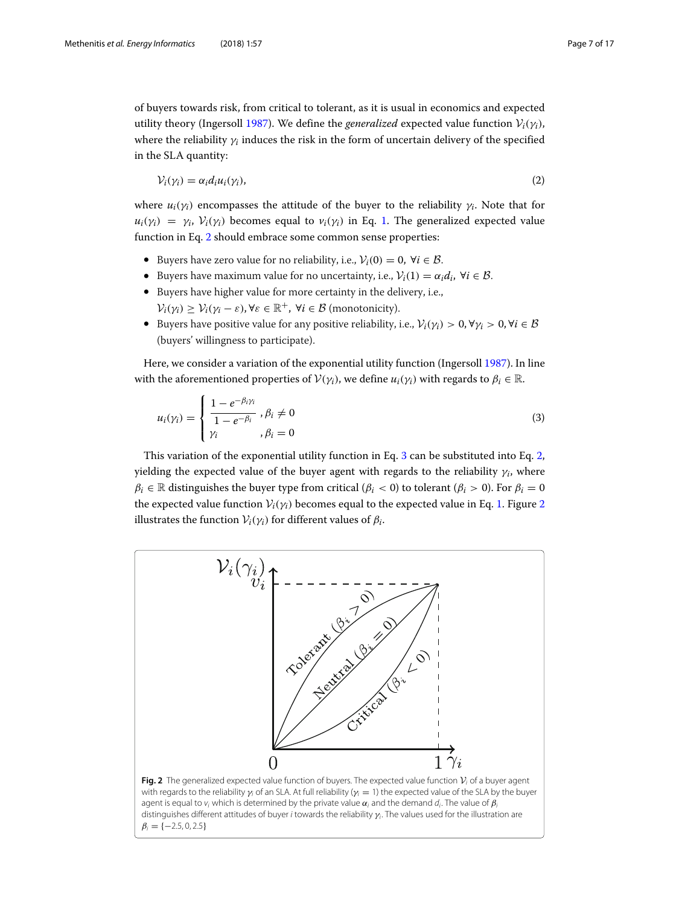of buyers towards risk, from critical to tolerant, as it is usual in economics and expected utility theory (Ingersoll [1987\)](#page-16-25). We define the *generalized* expected value function  $V_i(\gamma_i)$ , where the reliability  $\gamma_i$  induces the risk in the form of uncertain delivery of the specified in the SLA quantity:

<span id="page-6-0"></span>
$$
\mathcal{V}_i(\gamma_i) = \alpha_i d_i u_i(\gamma_i),\tag{2}
$$

where  $u_i(\gamma_i)$  encompasses the attitude of the buyer to the reliability  $\gamma_i$ . Note that for  $u_i(\gamma_i) = \gamma_i$ ,  $V_i(\gamma_i)$  becomes equal to  $v_i(\gamma_i)$  in Eq. [1.](#page-5-2) The generalized expected value function in Eq. [2](#page-6-0) should embrace some common sense properties:

- Buyers have zero value for no reliability, i.e.,  $V_i(0) = 0$ ,  $\forall i \in \mathcal{B}$ .
- Buyers have maximum value for no uncertainty, i.e.,  $V_i(1) = \alpha_i d_i$ ,  $\forall i \in \mathcal{B}$ .
- Buyers have higher value for more certainty in the delivery, i.e.,  $V_i(\gamma_i) \geq V_i(\gamma_i - \varepsilon), \forall \varepsilon \in \mathbb{R}^+, \forall i \in \mathcal{B}$  (monotonicity).
- Buyers have positive value for any positive reliability, i.e.,  $V_i(\gamma_i) > 0$ ,  $\forall \gamma_i > 0$ ,  $\forall i \in \mathcal{B}$ (buyers' willingness to participate).

Here, we consider a variation of the exponential utility function (Ingersoll [1987\)](#page-16-25). In line with the aforementioned properties of  $V(\gamma_i)$ , we define  $u_i(\gamma_i)$  with regards to  $\beta_i \in \mathbb{R}$ .

<span id="page-6-1"></span>
$$
u_i(\gamma_i) = \begin{cases} \frac{1 - e^{-\beta_i \gamma_i}}{1 - e^{-\beta_i}}, \beta_i \neq 0 \\ \gamma_i, \beta_i = 0 \end{cases}
$$
 (3)

This variation of the exponential utility function in Eq. [3](#page-6-1) can be substituted into Eq. [2,](#page-6-0) yielding the expected value of the buyer agent with regards to the reliability  $\gamma_i$ , where  $\beta_i \in \mathbb{R}$  distinguishes the buyer type from critical ( $\beta_i < 0$ ) to tolerant ( $\beta_i > 0$ ). For  $\beta_i = 0$ the expected value function  $V_i(\gamma_i)$  becomes equal to the expected value in Eq. [1.](#page-5-2) Figure [2](#page-6-2) illustrates the function  $V_i(\gamma_i)$  for different values of  $\beta_i$ .

<span id="page-6-2"></span>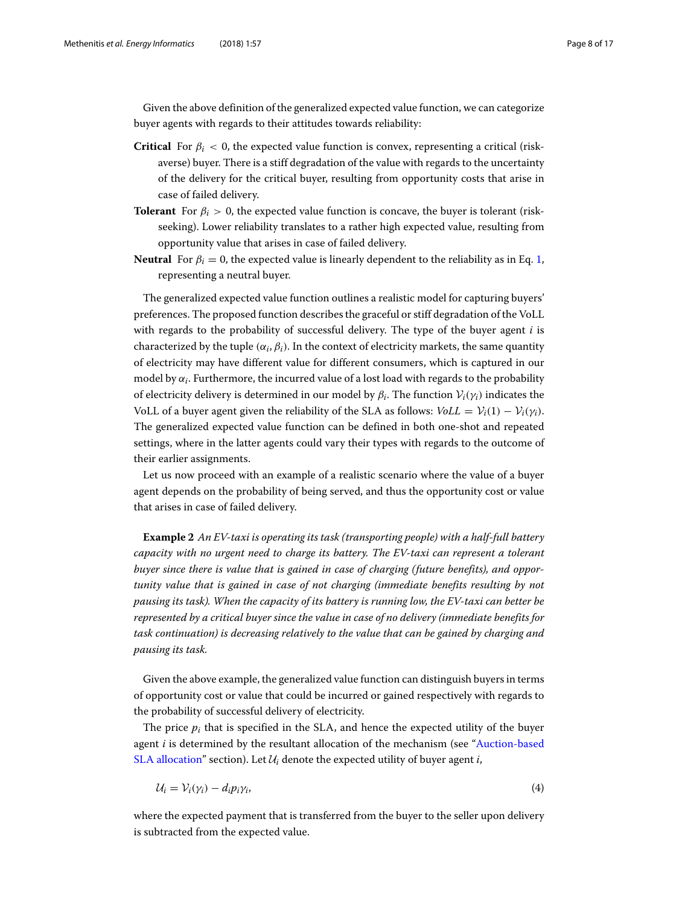Given the above definition of the generalized expected value function, we can categorize buyer agents with regards to their attitudes towards reliability:

- **Critical** For  $\beta_i$  < 0, the expected value function is convex, representing a critical (riskaverse) buyer. There is a stiff degradation of the value with regards to the uncertainty of the delivery for the critical buyer, resulting from opportunity costs that arise in case of failed delivery.
- **Tolerant** For  $\beta_i > 0$ , the expected value function is concave, the buyer is tolerant (riskseeking). Lower reliability translates to a rather high expected value, resulting from opportunity value that arises in case of failed delivery.
- **Neutral** For  $\beta_i = 0$ , the expected value is linearly dependent to the reliability as in Eq. [1,](#page-5-2) representing a neutral buyer.

The generalized expected value function outlines a realistic model for capturing buyers' preferences. The proposed function describes the graceful or stiff degradation of the VoLL with regards to the probability of successful delivery. The type of the buyer agent *i* is characterized by the tuple  $(\alpha_i, \beta_i)$ . In the context of electricity markets, the same quantity of electricity may have different value for different consumers, which is captured in our model by  $\alpha_i$ . Furthermore, the incurred value of a lost load with regards to the probability of electricity delivery is determined in our model by  $\beta_i$ . The function  $\mathcal{V}_i(\gamma_i)$  indicates the VoLL of a buyer agent given the reliability of the SLA as follows:  $V_0 L = V_i(1) - V_i(\gamma_i)$ . The generalized expected value function can be defined in both one-shot and repeated settings, where in the latter agents could vary their types with regards to the outcome of their earlier assignments.

Let us now proceed with an example of a realistic scenario where the value of a buyer agent depends on the probability of being served, and thus the opportunity cost or value that arises in case of failed delivery.

**Example 2** *An EV-taxi is operating its task (transporting people) with a half-full battery capacity with no urgent need to charge its battery. The EV-taxi can represent a tolerant buyer since there is value that is gained in case of charging (future benefits), and opportunity value that is gained in case of not charging (immediate benefits resulting by not pausing its task). When the capacity of its battery is running low, the EV-taxi can better be represented by a critical buyer since the value in case of no delivery (immediate benefits for task continuation) is decreasing relatively to the value that can be gained by charging and pausing its task.*

Given the above example, the generalized value function can distinguish buyers in terms of opportunity cost or value that could be incurred or gained respectively with regards to the probability of successful delivery of electricity.

The price  $p_i$  that is specified in the SLA, and hence the expected utility of the buyer agent *i* is dete[rmined](#page-8-0) [by](#page-8-0) [the](#page-8-0) [resultant](#page-8-0) [allocation](#page-8-0) [of](#page-8-0) [the](#page-8-0) [mechanism](#page-8-0) [\(see](#page-8-0) ["](#page-8-0)Auction-based SLA allocation" section). Let  $U_i$  denote the expected utility of buyer agent *i*,

<span id="page-7-0"></span>
$$
\mathcal{U}_i = \mathcal{V}_i(\gamma_i) - d_i p_i \gamma_i,\tag{4}
$$

where the expected payment that is transferred from the buyer to the seller upon delivery is subtracted from the expected value.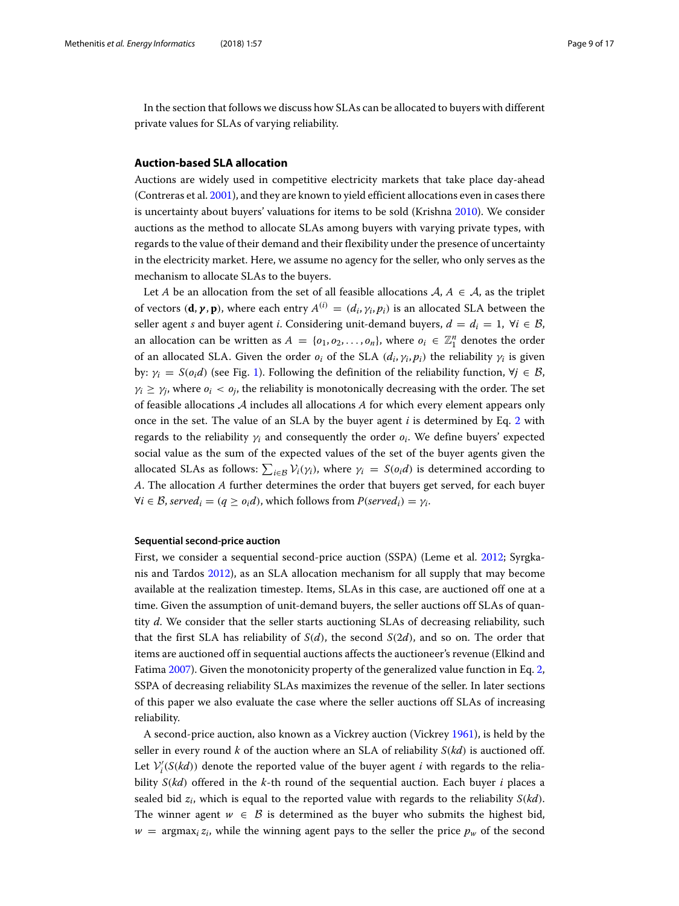In the section that follows we discuss how SLAs can be allocated to buyers with different private values for SLAs of varying reliability.

### <span id="page-8-0"></span>**Auction-based SLA allocation**

Auctions are widely used in competitive electricity markets that take place day-ahead (Contreras et al. [2001\)](#page-16-26), and they are known to yield efficient allocations even in cases there is uncertainty about buyers' valuations for items to be sold (Krishna [2010\)](#page-16-27). We consider auctions as the method to allocate SLAs among buyers with varying private types, with regards to the value of their demand and their flexibility under the presence of uncertainty in the electricity market. Here, we assume no agency for the seller, who only serves as the mechanism to allocate SLAs to the buyers.

Let *A* be an allocation from the set of all feasible allocations  $A, A \in A$ , as the triplet of vectors  $(\mathbf{d}, \gamma, \mathbf{p})$ , where each entry  $A^{(i)} = (d_i, \gamma_i, p_i)$  is an allocated SLA between the seller agent *s* and buyer agent *i*. Considering unit-demand buyers,  $d = d_i = 1$ ,  $\forall i \in \mathcal{B}$ , an allocation can be written as  $A = \{o_1, o_2, \ldots, o_n\}$ , where  $o_i \in \mathbb{Z}_1^n$  denotes the order of an allocated SLA. Given the order  $o_i$  of the SLA  $(d_i, \gamma_i, p_i)$  the reliability  $\gamma_i$  is given by:  $\gamma_i = S(o_i d)$  (see Fig. [1\)](#page-5-1). Following the definition of the reliability function,  $\forall j \in \mathcal{B}$ ,  $\gamma_i \geq \gamma_i$ , where  $o_i < o_j$ , the reliability is monotonically decreasing with the order. The set of feasible allocations A includes all allocations *A* for which every element appears only once in the set. The value of an SLA by the buyer agent *i* is determined by Eq. [2](#page-6-0) with regards to the reliability γ*<sup>i</sup>* and consequently the order *oi*. We define buyers' expected social value as the sum of the expected values of the set of the buyer agents given the allocated SLAs as follows:  $\sum_{i \in \mathcal{B}} \mathcal{V}_i(\gamma_i)$ , where  $\gamma_i = S(o_i d)$  is determined according to *A*. The allocation *A* further determines the order that buyers get served, for each buyer  $\forall i \in \mathcal{B}$ , *served*<sub>*i*</sub> = (*q*  $\ge$  *o*<sub>*i*</sub>*d*), which follows from *P*(*served<sub>i</sub>*) =  $\gamma_i$ .

#### <span id="page-8-1"></span>**Sequential second-price auction**

First, we consider a sequential second-price auction (SSPA) (Leme et al. [2012;](#page-16-28) Syrgkanis and Tardos [2012\)](#page-16-29), as an SLA allocation mechanism for all supply that may become available at the realization timestep. Items, SLAs in this case, are auctioned off one at a time. Given the assumption of unit-demand buyers, the seller auctions off SLAs of quantity *d*. We consider that the seller starts auctioning SLAs of decreasing reliability, such that the first SLA has reliability of *S*(*d*), the second *S*(2*d*), and so on. The order that items are auctioned off in sequential auctions affects the auctioneer's revenue (Elkind and Fatima [2007\)](#page-16-30). Given the monotonicity property of the generalized value function in Eq. [2,](#page-6-0) SSPA of decreasing reliability SLAs maximizes the revenue of the seller. In later sections of this paper we also evaluate the case where the seller auctions off SLAs of increasing reliability.

A second-price auction, also known as a Vickrey auction (Vickrey [1961\)](#page-16-31), is held by the seller in every round *k* of the auction where an SLA of reliability *S*(*kd*) is auctioned off. Let  $\mathcal{V}'_i(S(kd))$  denote the reported value of the buyer agent *i* with regards to the reliability *S*(*kd*) offered in the *k*-th round of the sequential auction. Each buyer *i* places a sealed bid *zi*, which is equal to the reported value with regards to the reliability *S*(*kd*). The winner agent  $w \in \mathcal{B}$  is determined as the buyer who submits the highest bid,  $w = \argmax_i z_i$ , while the winning agent pays to the seller the price  $p_w$  of the second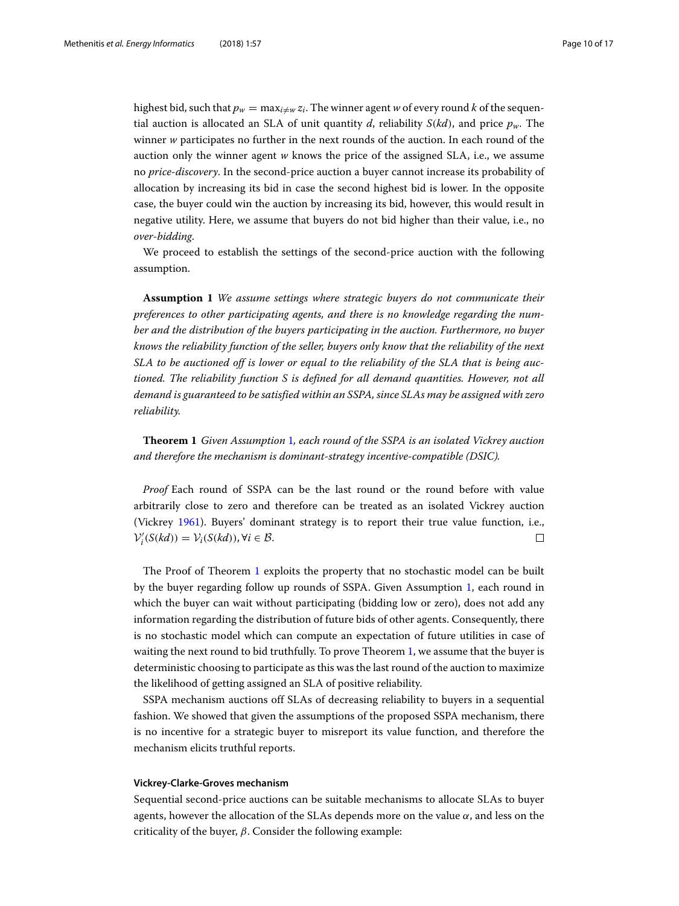highest bid, such that  $p_w = \max_{i \neq w} z_i$ . The winner agent *w* of every round *k* of the sequential auction is allocated an SLA of unit quantity *d*, reliability  $S(kd)$ , and price  $p_w$ . The winner *w* participates no further in the next rounds of the auction. In each round of the auction only the winner agent *w* knows the price of the assigned SLA, i.e., we assume no *price-discovery*. In the second-price auction a buyer cannot increase its probability of allocation by increasing its bid in case the second highest bid is lower. In the opposite case, the buyer could win the auction by increasing its bid, however, this would result in negative utility. Here, we assume that buyers do not bid higher than their value, i.e., no *over-bidding*.

We proceed to establish the settings of the second-price auction with the following assumption.

<span id="page-9-0"></span>**Assumption 1** *We assume settings where strategic buyers do not communicate their preferences to other participating agents, and there is no knowledge regarding the number and the distribution of the buyers participating in the auction. Furthermore, no buyer knows the reliability function of the seller, buyers only know that the reliability of the next SLA to be auctioned off is lower or equal to the reliability of the SLA that is being auctioned. The reliability function S is defined for all demand quantities. However, not all demand is guaranteed to be satisfied within an SSPA, since SLAs may be assigned with zero reliability.*

<span id="page-9-1"></span>**Theorem 1** *Given Assumption* [1](#page-9-0)*, each round of the SSPA is an isolated Vickrey auction and therefore the mechanism is dominant-strategy incentive-compatible (DSIC).*

*Proof* Each round of SSPA can be the last round or the round before with value arbitrarily close to zero and therefore can be treated as an isolated Vickrey auction (Vickrey [1961\)](#page-16-31). Buyers' dominant strategy is to report their true value function, i.e.,  $\Box$  $V'_i(S(kd)) = V_i(S(kd))$ ,  $\forall i \in \mathcal{B}$ .

The Proof of Theorem [1](#page-9-1) exploits the property that no stochastic model can be built by the buyer regarding follow up rounds of SSPA. Given Assumption [1,](#page-9-0) each round in which the buyer can wait without participating (bidding low or zero), does not add any information regarding the distribution of future bids of other agents. Consequently, there is no stochastic model which can compute an expectation of future utilities in case of waiting the next round to bid truthfully. To prove Theorem [1,](#page-9-1) we assume that the buyer is deterministic choosing to participate as this was the last round of the auction to maximize the likelihood of getting assigned an SLA of positive reliability.

SSPA mechanism auctions off SLAs of decreasing reliability to buyers in a sequential fashion. We showed that given the assumptions of the proposed SSPA mechanism, there is no incentive for a strategic buyer to misreport its value function, and therefore the mechanism elicits truthful reports.

#### <span id="page-9-2"></span>**Vickrey-Clarke-Groves mechanism**

Sequential second-price auctions can be suitable mechanisms to allocate SLAs to buyer agents, however the allocation of the SLAs depends more on the value  $\alpha$ , and less on the criticality of the buyer,  $\beta$ . Consider the following example: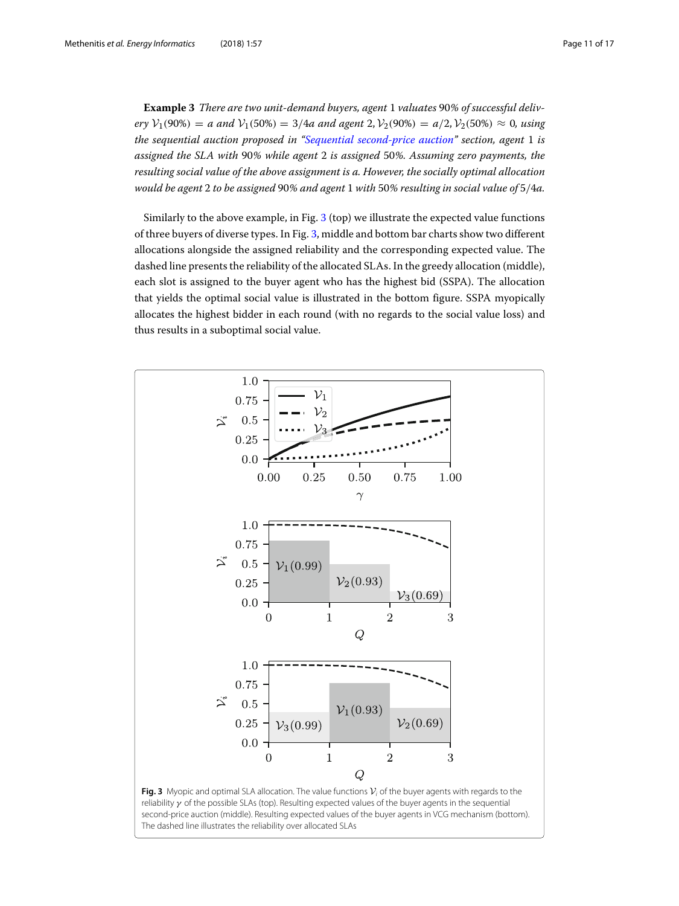**Example 3** *There are two unit-demand buyers, agent* 1 *valuates* 90*% of successful delivery*  $V_1(90\%) = a$  *and*  $V_1(50\%) = 3/4a$  *and agent* 2,  $V_2(90\%) = a/2$ ,  $V_2(50\%) \approx 0$ , *using the sequential auction proposed in ["Sequential second-price auction"](#page-8-1) section, agent* 1 *is assigned the SLA with* 90*% while agent* 2 *is assigned* 50*%. Assuming zero payments, the resulting social value of the above assignment is a. However, the socially optimal allocation would be agent* 2 *to be assigned* 90*% and agent* 1 *with* 50*% resulting in social value of* 5/4*a.*

Similarly to the above example, in Fig. [3](#page-10-0) (top) we illustrate the expected value functions of three buyers of diverse types. In Fig. [3,](#page-10-0) middle and bottom bar charts show two different allocations alongside the assigned reliability and the corresponding expected value. The dashed line presents the reliability of the allocated SLAs. In the greedy allocation (middle), each slot is assigned to the buyer agent who has the highest bid (SSPA). The allocation that yields the optimal social value is illustrated in the bottom figure. SSPA myopically allocates the highest bidder in each round (with no regards to the social value loss) and thus results in a suboptimal social value.

<span id="page-10-0"></span>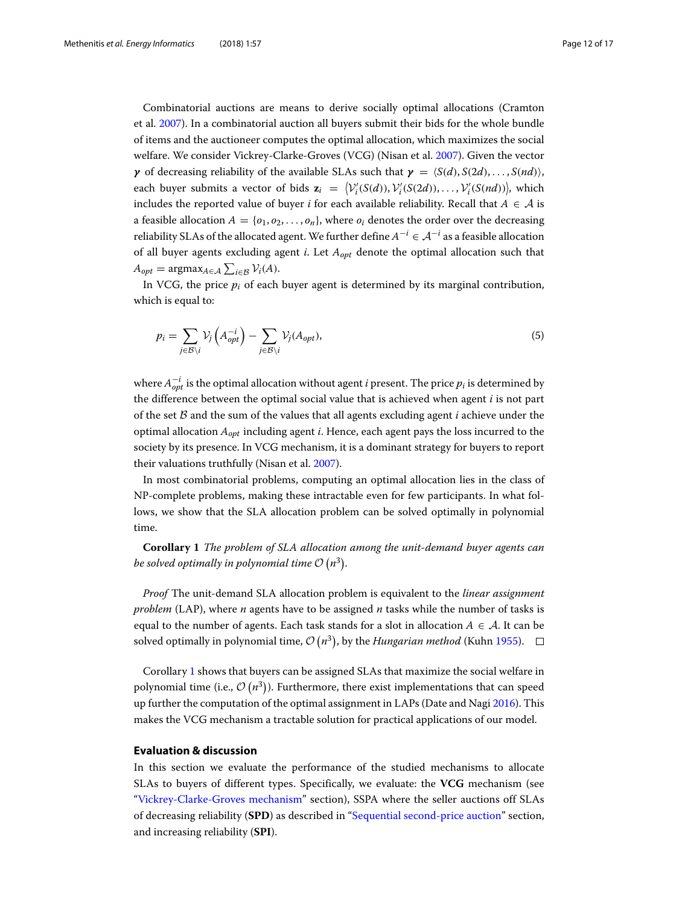Combinatorial auctions are means to derive socially optimal allocations (Cramton et al. [2007\)](#page-16-32). In a combinatorial auction all buyers submit their bids for the whole bundle of items and the auctioneer computes the optimal allocation, which maximizes the social welfare. We consider Vickrey-Clarke-Groves (VCG) (Nisan et al. [2007\)](#page-16-33). Given the vector *γ* of decreasing reliability of the available SLAs such that  $γ = \langle S(d), S(2d), \ldots, S(nd) \rangle$ , each buyer submits a vector of bids  $\mathbf{z}_i = \left\langle \mathcal{V}'_i(S(d)), \mathcal{V}'_i(S(2d)), \ldots, \mathcal{V}'_i(S(nd)) \right\rangle$ , which includes the reported value of buyer *i* for each available reliability. Recall that  $A \in \mathcal{A}$  is a feasible allocation  $A = \{o_1, o_2, \ldots, o_n\}$ , where  $o_i$  denotes the order over the decreasing reliability SLAs of the allocated agent. We further define  $A^{-i} \in A^{-i}$  as a feasible allocation of all buyer agents excluding agent *i*. Let *Aopt* denote the optimal allocation such that  $A_{opt} = \text{argmax}_{A \in \mathcal{A}} \sum_{i \in \mathcal{B}} \mathcal{V}_i(A).$ 

In VCG, the price  $p_i$  of each buyer agent is determined by its marginal contribution, which is equal to:

$$
p_i = \sum_{j \in \mathcal{B} \setminus i} \mathcal{V}_j \left( A_{opt}^{-i} \right) - \sum_{j \in \mathcal{B} \setminus i} \mathcal{V}_j (A_{opt}), \tag{5}
$$

where  $A^{-i}_{opt}$  is the optimal allocation without agent *i* present. The price  $p_i$  is determined by the difference between the optimal social value that is achieved when agent *i* is not part of the set B and the sum of the values that all agents excluding agent *i* achieve under the optimal allocation *Aopt* including agent *i*. Hence, each agent pays the loss incurred to the society by its presence. In VCG mechanism, it is a dominant strategy for buyers to report their valuations truthfully (Nisan et al. [2007\)](#page-16-33).

In most combinatorial problems, computing an optimal allocation lies in the class of NP-complete problems, making these intractable even for few participants. In what follows, we show that the SLA allocation problem can be solved optimally in polynomial time.

<span id="page-11-1"></span>**Corollary 1** *The problem of SLA allocation among the unit-demand buyer agents can* be solved optimally in polynomial time  $\mathcal{O}\left(n^3\right)$ .

*Proof* The unit-demand SLA allocation problem is equivalent to the *linear assignment problem* (LAP), where *n* agents have to be assigned *n* tasks while the number of tasks is equal to the number of agents. Each task stands for a slot in allocation  $A \in \mathcal{A}$ . It can be solved optimally in polynomial time,  $\mathcal{O}(n^3)$ , by the *Hungarian method* (Kuhn [1955\)](#page-16-34).

Corollary [1](#page-11-1) shows that buyers can be assigned SLAs that maximize the social welfare in polynomial time (i.e.,  $\mathcal{O}\left(n^3\right)$ ). Furthermore, there exist implementations that can speed up further the computation of the optimal assignment in LAPs (Date and Nagi [2016\)](#page-16-35). This makes the VCG mechanism a tractable solution for practical applications of our model.

# <span id="page-11-0"></span>**Evaluation & discussion**

In this section we evaluate the performance of the studied mechanisms to allocate SLAs to buyers of different types. Specifically, we evaluate: the **VCG** mechanism (see ["Vickrey-Clarke-Groves mechanism"](#page-9-2) section), SSPA where the seller auctions off SLAs of decreasing reliability (**SPD**) as described in ["Sequential second-price auction"](#page-8-1) section, and increasing reliability (**SPI**).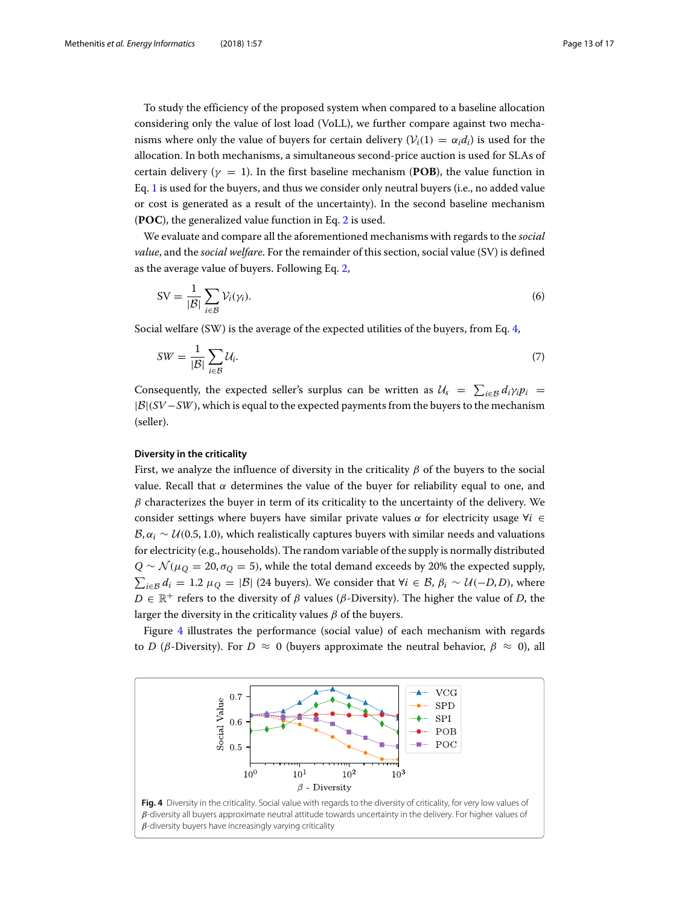To study the efficiency of the proposed system when compared to a baseline allocation considering only the value of lost load (VoLL), we further compare against two mechanisms where only the value of buyers for certain delivery  $(V_i(1) = \alpha_i d_i)$  is used for the allocation. In both mechanisms, a simultaneous second-price auction is used for SLAs of certain delivery ( $\gamma = 1$ ). In the first baseline mechanism (**POB**), the value function in Eq. [1](#page-5-2) is used for the buyers, and thus we consider only neutral buyers (i.e., no added value or cost is generated as a result of the uncertainty). In the second baseline mechanism (**POC**), the generalized value function in Eq. [2](#page-6-0) is used.

We evaluate and compare all the aforementioned mechanisms with regards to the *social value*, and the *social welfare*. For the remainder of this section, social value (SV) is defined as the average value of buyers. Following Eq. [2,](#page-6-0)

$$
SV = \frac{1}{|\mathcal{B}|} \sum_{i \in \mathcal{B}} \mathcal{V}_i(\gamma_i). \tag{6}
$$

Social welfare (SW) is the average of the expected utilities of the buyers, from Eq. [4,](#page-7-0)

$$
SW = \frac{1}{|B|} \sum_{i \in B} \mathcal{U}_i. \tag{7}
$$

Consequently, the expected seller's surplus can be written as  $U_s = \sum_{i \in \mathcal{B}} d_i \gamma_i p_i =$ |B|(*SV* −*SW*), which is equal to the expected payments from the buyers to the mechanism (seller).

#### **Diversity in the criticality**

First, we analyze the influence of diversity in the criticality  $\beta$  of the buyers to the social value. Recall that  $\alpha$  determines the value of the buyer for reliability equal to one, and  $\beta$  characterizes the buyer in term of its criticality to the uncertainty of the delivery. We consider settings where buyers have similar private values  $\alpha$  for electricity usage  $\forall i \in$  $B, \alpha_i \sim U(0.5, 1.0)$ , which realistically captures buyers with similar needs and valuations for electricity (e.g., households). The random variable of the supply is normally distributed  $Q \sim \mathcal{N}(\mu_0 = 20, \sigma_0 = 5)$ , while the total demand exceeds by 20% the expected supply,  $\sum_{i\in\mathcal{B}}d_i = 1.2$  μ $_Q = |\mathcal{B}|$  (24 buyers). We consider that ∀*i* ∈ *B*,  $β_i$  ∼ *U*(−*D*, *D*), where  $D \in \mathbb{R}^+$  refers to the diversity of  $\beta$  values ( $\beta$ -Diversity). The higher the value of *D*, the larger the diversity in the criticality values  $\beta$  of the buyers.

Figure [4](#page-12-0) illustrates the performance (social value) of each mechanism with regards to *D* (β-Diversity). For  $D \approx 0$  (buyers approximate the neutral behavior,  $\beta \approx 0$ ), all

<span id="page-12-0"></span>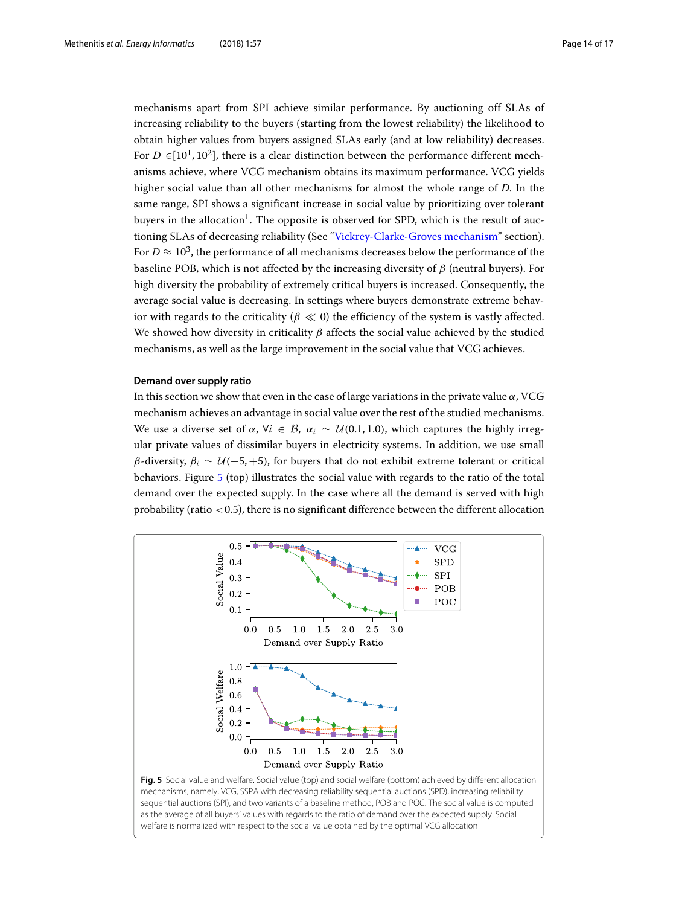mechanisms apart from SPI achieve similar performance. By auctioning off SLAs of increasing reliability to the buyers (starting from the lowest reliability) the likelihood to obtain higher values from buyers assigned SLAs early (and at low reliability) decreases. For  $D \in [10^1, 10^2]$ , there is a clear distinction between the performance different mechanisms achieve, where VCG mechanism obtains its maximum performance. VCG yields higher social value than all other mechanisms for almost the whole range of *D*. In the same range, SPI shows a significant increase in social value by prioritizing over tolerant buvers in the allocation<sup>1</sup>. The opposite is observed for SPD, which is the result of auctioning SLAs of decreasing reliability (See ["Vickrey-Clarke-Groves mechanism"](#page-9-2) section). For  $D \approx 10^3$ , the performance of all mechanisms decreases below the performance of the baseline POB, which is not affected by the increasing diversity of  $\beta$  (neutral buyers). For high diversity the probability of extremely critical buyers is increased. Consequently, the average social value is decreasing. In settings where buyers demonstrate extreme behavior with regards to the criticality ( $\beta \ll 0$ ) the efficiency of the system is vastly affected. We showed how diversity in criticality  $\beta$  affects the social value achieved by the studied mechanisms, as well as the large improvement in the social value that VCG achieves.

# **Demand over supply ratio**

In this section we show that even in the case of large variations in the private value  $\alpha$ , VCG mechanism achieves an advantage in social value over the rest of the studied mechanisms. We use a diverse set of  $\alpha$ ,  $\forall i \in \mathcal{B}$ ,  $\alpha_i \sim \mathcal{U}(0.1, 1.0)$ , which captures the highly irregular private values of dissimilar buyers in electricity systems. In addition, we use small β-diversity,  $β<sub>i</sub> ∼ U(-5, +5)$ , for buyers that do not exhibit extreme tolerant or critical behaviors. Figure [5](#page-13-0) (top) illustrates the social value with regards to the ratio of the total demand over the expected supply. In the case where all the demand is served with high probability (ratio  $< 0.5$ ), there is no significant difference between the different allocation

<span id="page-13-0"></span>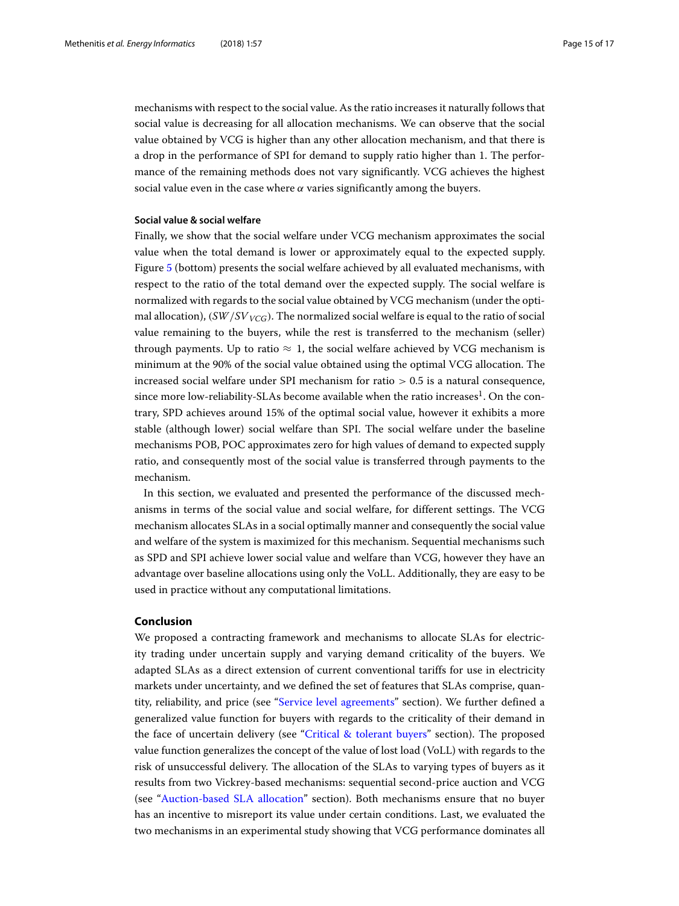mechanisms with respect to the social value. As the ratio increases it naturally follows that social value is decreasing for all allocation mechanisms. We can observe that the social value obtained by VCG is higher than any other allocation mechanism, and that there is a drop in the performance of SPI for demand to supply ratio higher than 1. The performance of the remaining methods does not vary significantly. VCG achieves the highest social value even in the case where  $\alpha$  varies significantly among the buyers.

#### **Social value & social welfare**

Finally, we show that the social welfare under VCG mechanism approximates the social value when the total demand is lower or approximately equal to the expected supply. Figure [5](#page-13-0) (bottom) presents the social welfare achieved by all evaluated mechanisms, with respect to the ratio of the total demand over the expected supply. The social welfare is normalized with regards to the social value obtained by VCG mechanism (under the optimal allocation),  $\frac{SW}{SV_{VCG}}$ . The normalized social welfare is equal to the ratio of social value remaining to the buyers, while the rest is transferred to the mechanism (seller) through payments. Up to ratio  $\approx 1$ , the social welfare achieved by VCG mechanism is minimum at the 90% of the social value obtained using the optimal VCG allocation. The increased social welfare under SPI mechanism for ratio  $> 0.5$  is a natural consequence, since more low-reliability-SLAs become available when the ratio increases $1$ . On the contrary, SPD achieves around 15% of the optimal social value, however it exhibits a more stable (although lower) social welfare than SPI. The social welfare under the baseline mechanisms POB, POC approximates zero for high values of demand to expected supply ratio, and consequently most of the social value is transferred through payments to the mechanism.

In this section, we evaluated and presented the performance of the discussed mechanisms in terms of the social value and social welfare, for different settings. The VCG mechanism allocates SLAs in a social optimally manner and consequently the social value and welfare of the system is maximized for this mechanism. Sequential mechanisms such as SPD and SPI achieve lower social value and welfare than VCG, however they have an advantage over baseline allocations using only the VoLL. Additionally, they are easy to be used in practice without any computational limitations.

#### <span id="page-14-0"></span>**Conclusion**

We proposed a contracting framework and mechanisms to allocate SLAs for electricity trading under uncertain supply and varying demand criticality of the buyers. We adapted SLAs as a direct extension of current conventional tariffs for use in electricity markets under uncertainty, and we defined the set of features that SLAs comprise, quantity, reliability, and price (see ["Service level agreements"](#page-4-2) section). We further defined a generalized value function for buyers with regards to the criticality of their demand in the face of uncertain delivery (see ["Critical & tolerant buyers"](#page-5-0) section). The proposed value function generalizes the concept of the value of lost load (VoLL) with regards to the risk of unsuccessful delivery. The allocation of the SLAs to varying types of buyers as it results from two Vickrey-based mechanisms: sequential second-price auction and VCG (see ["Auction-based SLA allocation"](#page-8-0) section). Both mechanisms ensure that no buyer has an incentive to misreport its value under certain conditions. Last, we evaluated the two mechanisms in an experimental study showing that VCG performance dominates all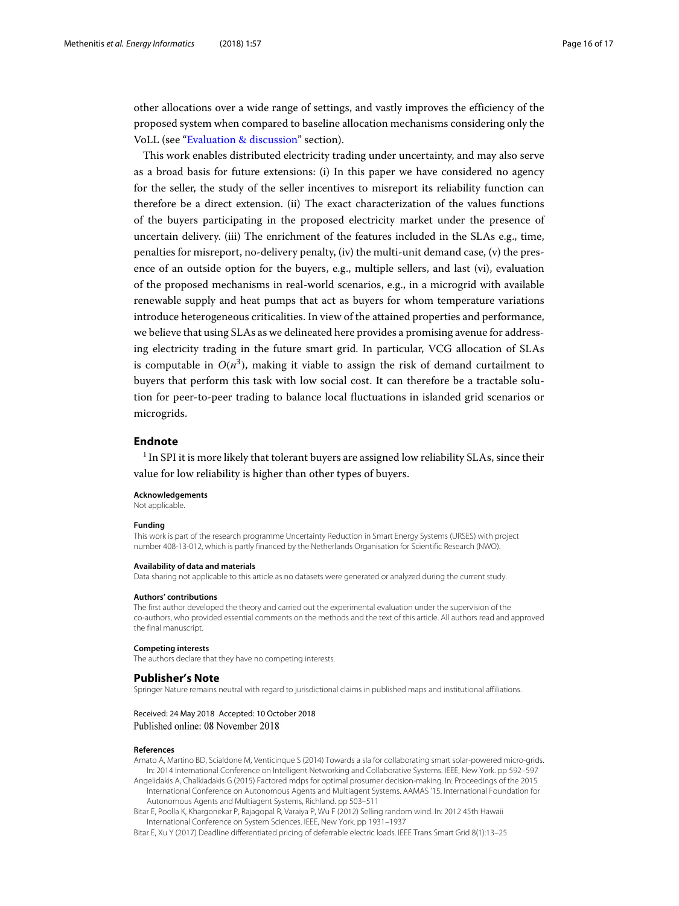other allocations over a wide range of settings, and vastly improves the efficiency of the proposed system when compared to baseline allocation mechanisms considering only the VoLL (see ["Evaluation & discussion"](#page-11-0) section).

This work enables distributed electricity trading under uncertainty, and may also serve as a broad basis for future extensions: (i) In this paper we have considered no agency for the seller, the study of the seller incentives to misreport its reliability function can therefore be a direct extension. (ii) The exact characterization of the values functions of the buyers participating in the proposed electricity market under the presence of uncertain delivery. (iii) The enrichment of the features included in the SLAs e.g., time, penalties for misreport, no-delivery penalty, (iv) the multi-unit demand case, (v) the presence of an outside option for the buyers, e.g., multiple sellers, and last (vi), evaluation of the proposed mechanisms in real-world scenarios, e.g., in a microgrid with available renewable supply and heat pumps that act as buyers for whom temperature variations introduce heterogeneous criticalities. In view of the attained properties and performance, we believe that using SLAs as we delineated here provides a promising avenue for addressing electricity trading in the future smart grid. In particular, VCG allocation of SLAs is computable in  $O(n^3)$ , making it viable to assign the risk of demand curtailment to buyers that perform this task with low social cost. It can therefore be a tractable solution for peer-to-peer trading to balance local fluctuations in islanded grid scenarios or microgrids.

### **Endnote**

<sup>1</sup> In SPI it is more likely that tolerant buyers are assigned low reliability SLAs, since their value for low reliability is higher than other types of buyers.

#### **Acknowledgements**

Not applicable.

#### **Funding**

This work is part of the research programme Uncertainty Reduction in Smart Energy Systems (URSES) with project number 408-13-012, which is partly financed by the Netherlands Organisation for Scientific Research (NWO).

#### **Availability of data and materials**

Data sharing not applicable to this article as no datasets were generated or analyzed during the current study.

#### **Authors' contributions**

The first author developed the theory and carried out the experimental evaluation under the supervision of the co-authors, who provided essential comments on the methods and the text of this article. All authors read and approved the final manuscript.

#### **Competing interests**

The authors declare that they have no competing interests.

#### **Publisher's Note**

Springer Nature remains neutral with regard to jurisdictional claims in published maps and institutional affiliations.

#### Received: 24 May 2018 Accepted: 10 October 2018 Published online: 08 November 2018

#### **References**

<span id="page-15-1"></span>Amato A, Martino BD, Scialdone M, Venticinque S (2014) Towards a sla for collaborating smart solar-powered micro-grids. In: 2014 International Conference on Intelligent Networking and Collaborative Systems. IEEE, New York. pp 592–597

<span id="page-15-0"></span>Angelidakis A, Chalkiadakis G (2015) Factored mdps for optimal prosumer decision-making. In: Proceedings of the 2015 International Conference on Autonomous Agents and Multiagent Systems. AAMAS '15. International Foundation for Autonomous Agents and Multiagent Systems, Richland. pp 503–511

<span id="page-15-3"></span>Bitar E, Poolla K, Khargonekar P, Rajagopal R, Varaiya P, Wu F (2012) Selling random wind. In: 2012 45th Hawaii International Conference on System Sciences. IEEE, New York. pp 1931–1937

<span id="page-15-2"></span>Bitar E, Xu Y (2017) Deadline differentiated pricing of deferrable electric loads. IEEE Trans Smart Grid 8(1):13–25